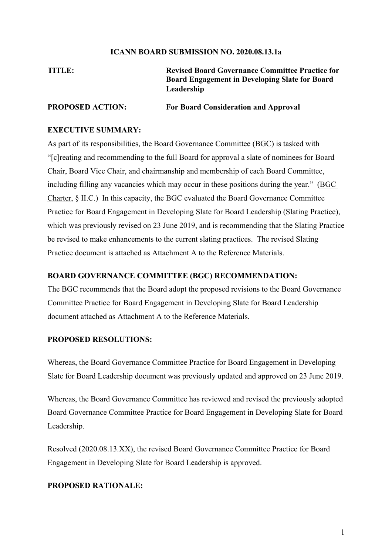### **ICANN BOARD SUBMISSION NO. 2020.08.13.1a**

## **TITLE: Revised Board Governance Committee Practice for Board Engagement in Developing Slate for Board Leadership**

### **PROPOSED ACTION: For Board Consideration and Approval**

### **EXECUTIVE SUMMARY:**

As part of its responsibilities, the Board Governance Committee (BGC) is tasked with "[c]reating and recommending to the full Board for approval a slate of nominees for Board Chair, Board Vice Chair, and chairmanship and membership of each Board Committee, including filling any vacancies which may occur in these positions during the year." (BGC Charter, § II.C.) In this capacity, the BGC evaluated the Board Governance Committee Practice for Board Engagement in Developing Slate for Board Leadership (Slating Practice), which was previously revised on 23 June 2019, and is recommending that the Slating Practice be revised to make enhancements to the current slating practices. The revised Slating Practice document is attached as Attachment A to the Reference Materials.

### **BOARD GOVERNANCE COMMITTEE (BGC) RECOMMENDATION:**

The BGC recommends that the Board adopt the proposed revisions to the Board Governance Committee Practice for Board Engagement in Developing Slate for Board Leadership document attached as Attachment A to the Reference Materials.

### **PROPOSED RESOLUTIONS:**

Whereas, the Board Governance Committee Practice for Board Engagement in Developing Slate for Board Leadership document was previously updated and approved on 23 June 2019.

Whereas, the Board Governance Committee has reviewed and revised the previously adopted Board Governance Committee Practice for Board Engagement in Developing Slate for Board Leadership.

Resolved (2020.08.13.XX), the revised Board Governance Committee Practice for Board Engagement in Developing Slate for Board Leadership is approved.

### **PROPOSED RATIONALE:**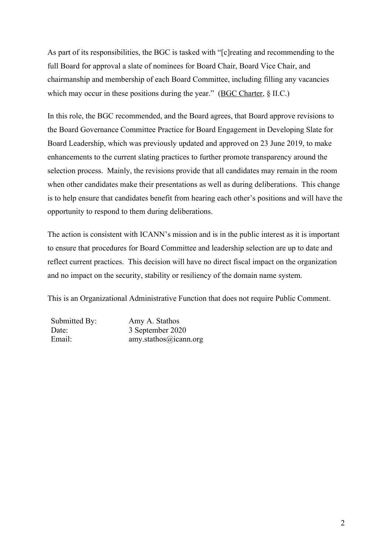As part of its responsibilities, the BGC is tasked with "[c]reating and recommending to the full Board for approval a slate of nominees for Board Chair, Board Vice Chair, and chairmanship and membership of each Board Committee, including filling any vacancies which may occur in these positions during the year." (BGC Charter, § II.C.)

In this role, the BGC recommended, and the Board agrees, that Board approve revisions to the Board Governance Committee Practice for Board Engagement in Developing Slate for Board Leadership, which was previously updated and approved on 23 June 2019, to make enhancements to the current slating practices to further promote transparency around the selection process. Mainly, the revisions provide that all candidates may remain in the room when other candidates make their presentations as well as during deliberations. This change is to help ensure that candidates benefit from hearing each other's positions and will have the opportunity to respond to them during deliberations.

The action is consistent with ICANN's mission and is in the public interest as it is important to ensure that procedures for Board Committee and leadership selection are up to date and reflect current practices. This decision will have no direct fiscal impact on the organization and no impact on the security, stability or resiliency of the domain name system.

This is an Organizational Administrative Function that does not require Public Comment.

| Submitted By: | Amy A. Stathos        |
|---------------|-----------------------|
| Date:         | 3 September 2020      |
| Email:        | amy.stathos@icann.org |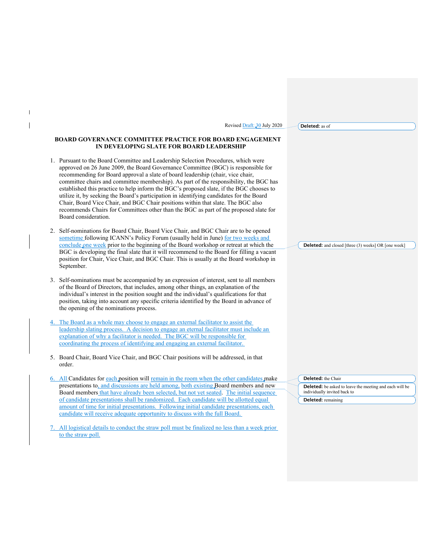Revised Draft: 30 July 2020

**Deleted:** as of

#### **BOARD GOVERNANCE COMMITTEE PRACTICE FOR BOARD ENGAGEMENT IN DEVELOPING SLATE FOR BOARD LEADERSHIP**

 $\mathsf{l}$ 

- 1. Pursuant to the Board Committee and Leadership Selection Procedures, which were approved on 26 June 2009, the Board Governance Committee (BGC) is responsible for recommending for Board approval a slate of board leadership (chair, vice chair, committee chairs and committee membership). As part of the responsibility, the BGC has established this practice to help inform the BGC's proposed slate, if the BGC chooses to utilize it, by seeking the Board's participation in identifying candidates for the Board Chair, Board Vice Chair, and BGC Chair positions within that slate. The BGC also recommends Chairs for Committees other than the BGC as part of the proposed slate for Board consideration.
- 2. Self-nominations for Board Chair, Board Vice Chair, and BGC Chair are to be opened sometime following ICANN's Policy Forum (usually held in June) for two weeks and conclude one week prior to the beginning of the Board workshop or retreat at which the BGC is developing the final slate that it will recommend to the Board for filling a vacant position for Chair, Vice Chair, and BGC Chair. This is usually at the Board workshop in September.
- 3. Self-nominations must be accompanied by an expression of interest, sent to all members of the Board of Directors, that includes, among other things, an explanation of the individual's interest in the position sought and the individual's qualifications for that position, taking into account any specific criteria identified by the Board in advance of the opening of the nominations process.
- 4. The Board as a whole may choose to engage an external facilitator to assist the leadership slating process. A decision to engage an eternal facilitator must include an explanation of why a facilitator is needed. The BGC will be responsible for coordinating the process of identifying and engaging an external facilitator.
- 5. Board Chair, Board Vice Chair, and BGC Chair positions will be addressed, in that order.
- 6. All Candidates for each position will remain in the room when the other candidates make presentations to, and discussions are held among, both existing Board members and new Board members that have already been selected, but not yet seated. The initial sequence of candidate presentations shall be randomized. Each candidate will be allotted equal amount of time for initial presentations. Following initial candidate presentations, each candidate will receive adequate opportunity to discuss with the full Board.
- All logistical details to conduct the straw poll must be finalized no less than a week prior to the straw poll.

**Deleted:** and closed [three (3) weeks] OR [one week]

**Deleted:** the Chair

**Deleted:** be asked to leave the meeting and each will be individually invited back to

**Deleted:** remaining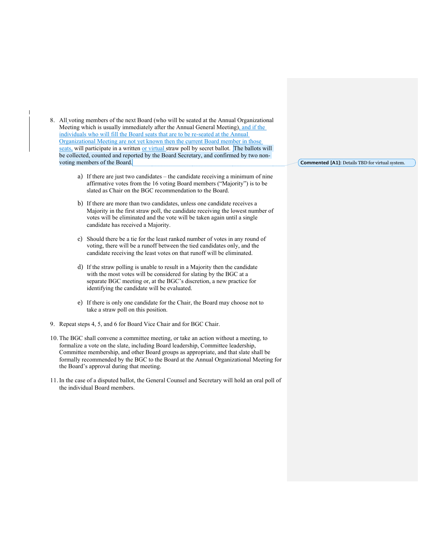8. All voting members of the next Board (who will be seated at the Annual Organizational Meeting which is usually immediately after the Annual General Meeting), and if the individuals who will fill the Board seats that are to be re-seated at the Annual Organizational Meeting are not yet known then the current Board member in those seats, will participate in a written or virtual straw poll by secret ballot. The ballots will be collected, counted and reported by the Board Secretary, and confirmed by two nonvoting members of the Board.

- a) If there are just two candidates the candidate receiving a minimum of nine affirmative votes from the 16 voting Board members ("Majority") is to be slated as Chair on the BGC recommendation to the Board.
- b) If there are more than two candidates, unless one candidate receives a Majority in the first straw poll, the candidate receiving the lowest number of votes will be eliminated and the vote will be taken again until a single candidate has received a Majority.
- c) Should there be a tie for the least ranked number of votes in any round of voting, there will be a runoff between the tied candidates only, and the candidate receiving the least votes on that runoff will be eliminated.
- d) If the straw polling is unable to result in a Majority then the candidate with the most votes will be considered for slating by the BGC at a separate BGC meeting or, at the BGC's discretion, a new practice for identifying the candidate will be evaluated.
- e) If there is only one candidate for the Chair, the Board may choose not to take a straw poll on this position.
- 9. Repeat steps 4, 5, and 6 for Board Vice Chair and for BGC Chair.
- 10. The BGC shall convene a committee meeting, or take an action without a meeting, to formalize a vote on the slate, including Board leadership, Committee leadership, Committee membership, and other Board groups as appropriate, and that slate shall be formally recommended by the BGC to the Board at the Annual Organizational Meeting for the Board's approval during that meeting.
- 11.In the case of a disputed ballot, the General Counsel and Secretary will hold an oral poll of the individual Board members.

**Commented [A1]:** Details TBD for virtual system.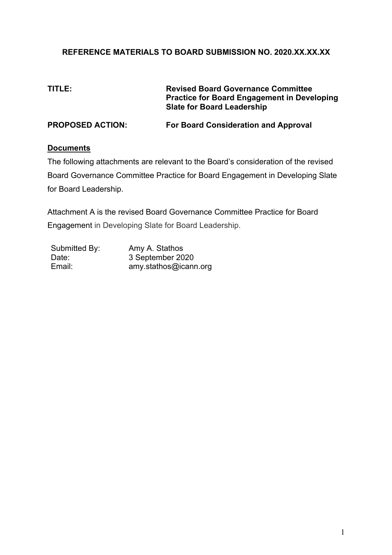## **REFERENCE MATERIALS TO BOARD SUBMISSION NO. 2020.XX.XX.XX**

**TITLE: Revised Board Governance Committee Practice for Board Engagement in Developing Slate for Board Leadership**

**PROPOSED ACTION: For Board Consideration and Approval**

### **Documents**

The following attachments are relevant to the Board's consideration of the revised Board Governance Committee Practice for Board Engagement in Developing Slate for Board Leadership.

Attachment A is the revised Board Governance Committee Practice for Board Engagement in Developing Slate for Board Leadership.

| Submitted By: | Amy A. Stathos        |
|---------------|-----------------------|
| Date:         | 3 September 2020      |
| Email:        | amy.stathos@icann.org |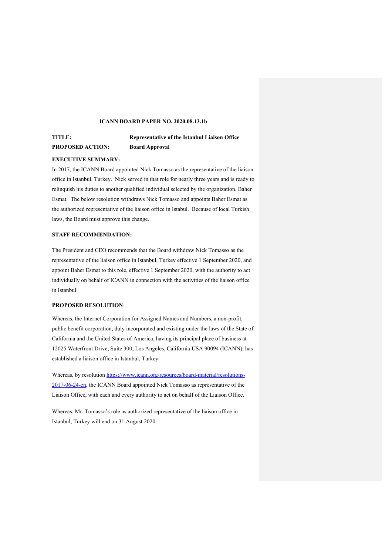#### **ICANN BOARD PAPER NO. 2020.08.13.1b**

## **PROPOSED ACTION: Board Approval**

# **TITLE: Representative of the Istanbul Liaison Office**

#### **EXECUTIVE SUMMARY:**

In 2017, the ICANN Board appointed Nick Tomasso as the representative of the liaison office in Istanbul, Turkey. Nick served in that role for nearly three years and is ready to relinquish his duties to another qualified individual selected by the organization, Baher Esmat. The below resolution withdraws Nick Tomasso and appoints Baher Esmat as the authorized representative of the liaison office in Istabul. Because of local Turkish laws, the Board must approve this change.

#### **STAFF RECOMMENDATION:**

The President and CEO recommends that the Board withdraw Nick Tomasso as the representative of the liaison office in Istanbul, Turkey effective 1 September 2020, and appoint Baher Esmat to this role, effective 1 September 2020, with the authority to act individually on behalf of ICANN in connection with the activities of the liaison office in Istanbul.

#### **PROPOSED RESOLUTION**:

Whereas, the Internet Corporation for Assigned Names and Numbers, a non-profit, public benefit corporation, duly incorporated and existing under the laws of the State of California and the United States of America, having its principal place of business at 12025 Waterfront Drive, Suite 300, Los Angeles, California USA 90094 (ICANN), has established a liaison office in Istanbul, Turkey.

Whereas, by resolution https://www.icann.org/resources/board-material/resolutions-2017-06-24-en, the ICANN Board appointed Nick Tomasso as representative of the Liaison Office, with each and every authority to act on behalf of the Liaison Office.

Whereas, Mr. Tomasso's role as authorized representative of the liaison office in Istanbul, Turkey will end on 31 August 2020.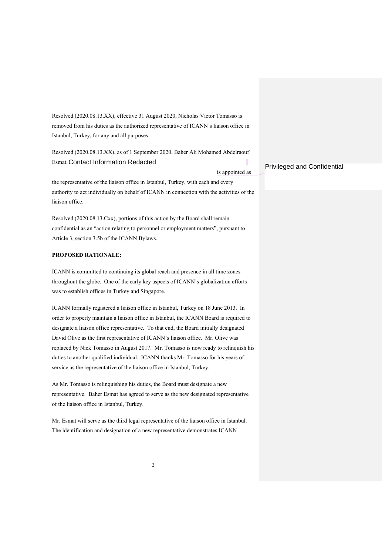Resolved (2020.08.13.XX), effective 31 August 2020, Nicholas Victor Tomasso is removed from his duties as the authorized representative of ICANN's liaison office in Istanbul, Turkey, for any and all purposes.

Resolved (2020.08.13.XX), as of 1 September 2020, Baher Ali Mohamed Abdelraouf Esmat, Contact Information Redacted

is appointed as

the representative of the liaison office in Istanbul, Turkey, with each and every authority to act individually on behalf of ICANN in connection with the activities of the liaison office.

Resolved (2020.08.13.Cxx), portions of this action by the Board shall remain confidential as an "action relating to personnel or employment matters", pursuant to Article 3, section 3.5b of the ICANN Bylaws.

#### **PROPOSED RATIONALE:**

ICANN is committed to continuing its global reach and presence in all time zones throughout the globe. One of the early key aspects of ICANN's globalization efforts was to establish offices in Turkey and Singapore.

ICANN formally registered a liaison office in Istanbul, Turkey on 18 June 2013. In order to properly maintain a liaison office in Istanbul, the ICANN Board is required to designate a liaison office representative. To that end, the Board initially designated David Olive as the first representative of ICANN's liaison office. Mr. Olive was replaced by Nick Tomasso in August 2017. Mr. Tomasso is now ready to relinquish his duties to another qualified individual. ICANN thanks Mr. Tomasso for his years of service as the representative of the liaison office in Istanbul, Turkey.

As Mr. Tomasso is relinquishing his duties, the Board must designate a new representative. Baher Esmat has agreed to serve as the new designated representative of the liaison office in Istanbul, Turkey.

Mr. Esmat will serve as the third legal representative of the liaison office in Istanbul. The identification and designation of a new representative demonstrates ICANN

#### Privileged and Confidential